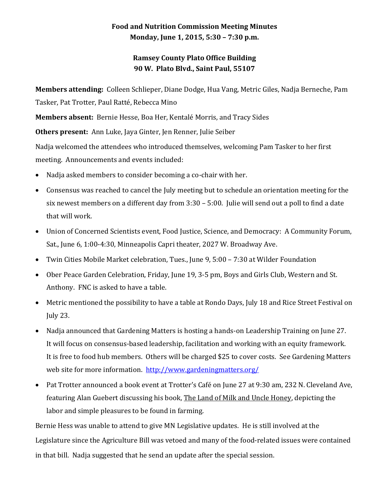## **Food and Nutrition Commission Meeting Minutes Monday, June 1, 2015, 5:30 – 7:30 p.m.**

## **Ramsey County Plato Office Building 90 W. Plato Blvd., Saint Paul, 55107**

**Members attending:** Colleen Schlieper, Diane Dodge, Hua Vang, Metric Giles, Nadja Berneche, Pam Tasker, Pat Trotter, Paul Ratté, Rebecca Mino

**Members absent:** Bernie Hesse, Boa Her, Kentalé Morris, and Tracy Sides

**Others present:** Ann Luke, Jaya Ginter, Jen Renner, Julie Seiber

Nadja welcomed the attendees who introduced themselves, welcoming Pam Tasker to her first meeting. Announcements and events included:

- Nadja asked members to consider becoming a co-chair with her.
- Consensus was reached to cancel the July meeting but to schedule an orientation meeting for the six newest members on a different day from 3:30 – 5:00. Julie will send out a poll to find a date that will work.
- Union of Concerned Scientists event, Food Justice, Science, and Democracy: A Community Forum, Sat., June 6, 1:00-4:30, Minneapolis Capri theater, 2027 W. Broadway Ave.
- Twin Cities Mobile Market celebration, Tues., June 9, 5:00 7:30 at Wilder Foundation
- Ober Peace Garden Celebration, Friday, June 19, 3-5 pm, Boys and Girls Club, Western and St. Anthony. FNC is asked to have a table.
- Metric mentioned the possibility to have a table at Rondo Days, July 18 and Rice Street Festival on July 23.
- Nadja announced that Gardening Matters is hosting a hands-on Leadership Training on June 27. It will focus on consensus-based leadership, facilitation and working with an equity framework. It is free to food hub members. Others will be charged \$25 to cover costs. See Gardening Matters web site for more information. <http://www.gardeningmatters.org/>
- Pat Trotter announced a book event at Trotter's Café on June 27 at 9:30 am, 232 N. Cleveland Ave, featuring Alan Guebert discussing his book, The Land of Milk and Uncle Honey, depicting the labor and simple pleasures to be found in farming.

Bernie Hess was unable to attend to give MN Legislative updates. He is still involved at the Legislature since the Agriculture Bill was vetoed and many of the food-related issues were contained in that bill. Nadja suggested that he send an update after the special session.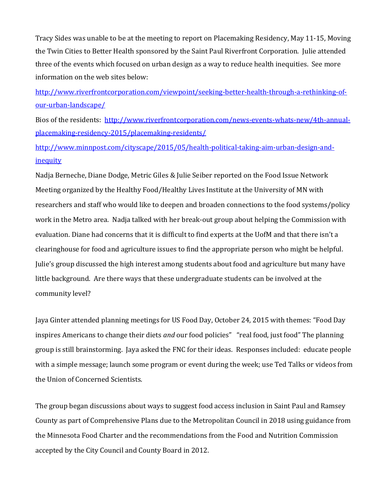Tracy Sides was unable to be at the meeting to report on Placemaking Residency, May 11-15, Moving the Twin Cities to Better Health sponsored by the Saint Paul Riverfront Corporation. Julie attended three of the events which focused on urban design as a way to reduce health inequities. See more information on the web sites below:

[http://www.riverfrontcorporation.com/viewpoint/seeking-better-health-through-a-rethinking-of](http://www.riverfrontcorporation.com/viewpoint/seeking-better-health-through-a-rethinking-of-our-urban-landscape/)[our-urban-landscape/](http://www.riverfrontcorporation.com/viewpoint/seeking-better-health-through-a-rethinking-of-our-urban-landscape/)

Bios of the residents: [http://www.riverfrontcorporation.com/news-events-whats-new/4th-annual](http://www.riverfrontcorporation.com/news-events-whats-new/4th-annual-placemaking-residency-2015/placemaking-residents/)[placemaking-residency-2015/placemaking-residents/](http://www.riverfrontcorporation.com/news-events-whats-new/4th-annual-placemaking-residency-2015/placemaking-residents/)

[http://www.minnpost.com/cityscape/2015/05/health-political-taking-aim-urban-design-and](http://www.minnpost.com/cityscape/2015/05/health-political-taking-aim-urban-design-and-inequity)**[inequity](http://www.minnpost.com/cityscape/2015/05/health-political-taking-aim-urban-design-and-inequity)** 

Nadja Berneche, Diane Dodge, Metric Giles & Julie Seiber reported on the Food Issue Network Meeting organized by the Healthy Food/Healthy Lives Institute at the University of MN with researchers and staff who would like to deepen and broaden connections to the food systems/policy work in the Metro area. Nadja talked with her break-out group about helping the Commission with evaluation. Diane had concerns that it is difficult to find experts at the UofM and that there isn't a clearinghouse for food and agriculture issues to find the appropriate person who might be helpful. Julie's group discussed the high interest among students about food and agriculture but many have little background. Are there ways that these undergraduate students can be involved at the community level?

Jaya Ginter attended planning meetings for US Food Day, October 24, 2015 with themes: "Food Day inspires Americans to change their diets *and* our food policies" "real food, just food" The planning group is still brainstorming. Jaya asked the FNC for their ideas. Responses included: educate people with a simple message; launch some program or event during the week; use Ted Talks or videos from the Union of Concerned Scientists.

The group began discussions about ways to suggest food access inclusion in Saint Paul and Ramsey County as part of Comprehensive Plans due to the Metropolitan Council in 2018 using guidance from the Minnesota Food Charter and the recommendations from the Food and Nutrition Commission accepted by the City Council and County Board in 2012.